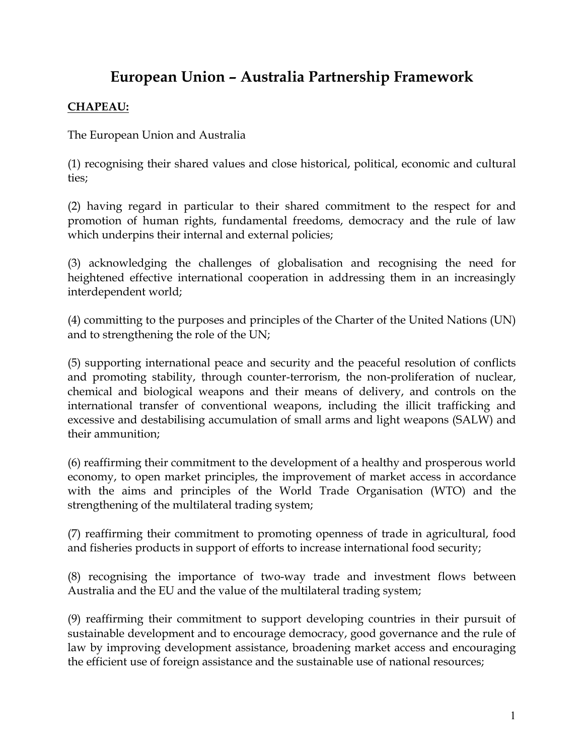# **European Union – Australia Partnership Framework**

### **CHAPEAU:**

The European Union and Australia

(1) recognising their shared values and close historical, political, economic and cultural ties;

(2) having regard in particular to their shared commitment to the respect for and promotion of human rights, fundamental freedoms, democracy and the rule of law which underpins their internal and external policies;

(3) acknowledging the challenges of globalisation and recognising the need for heightened effective international cooperation in addressing them in an increasingly interdependent world;

(4) committing to the purposes and principles of the Charter of the United Nations (UN) and to strengthening the role of the UN;

(5) supporting international peace and security and the peaceful resolution of conflicts and promoting stability, through counter-terrorism, the non-proliferation of nuclear, chemical and biological weapons and their means of delivery, and controls on the international transfer of conventional weapons, including the illicit trafficking and excessive and destabilising accumulation of small arms and light weapons (SALW) and their ammunition;

(6) reaffirming their commitment to the development of a healthy and prosperous world economy, to open market principles, the improvement of market access in accordance with the aims and principles of the World Trade Organisation (WTO) and the strengthening of the multilateral trading system;

(7) reaffirming their commitment to promoting openness of trade in agricultural, food and fisheries products in support of efforts to increase international food security;

(8) recognising the importance of two-way trade and investment flows between Australia and the EU and the value of the multilateral trading system;

(9) reaffirming their commitment to support developing countries in their pursuit of sustainable development and to encourage democracy, good governance and the rule of law by improving development assistance, broadening market access and encouraging the efficient use of foreign assistance and the sustainable use of national resources;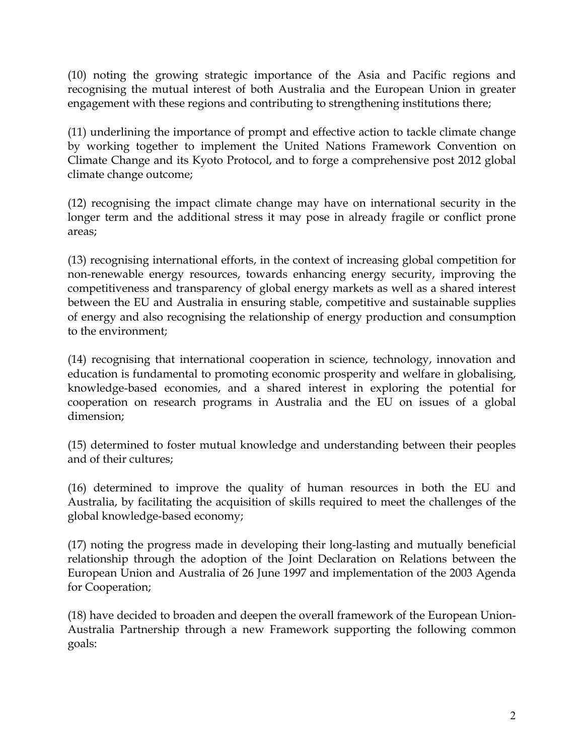(10) noting the growing strategic importance of the Asia and Pacific regions and recognising the mutual interest of both Australia and the European Union in greater engagement with these regions and contributing to strengthening institutions there;

(11) underlining the importance of prompt and effective action to tackle climate change by working together to implement the United Nations Framework Convention on Climate Change and its Kyoto Protocol, and to forge a comprehensive post 2012 global climate change outcome;

(12) recognising the impact climate change may have on international security in the longer term and the additional stress it may pose in already fragile or conflict prone areas;

(13) recognising international efforts, in the context of increasing global competition for non-renewable energy resources, towards enhancing energy security, improving the competitiveness and transparency of global energy markets as well as a shared interest between the EU and Australia in ensuring stable, competitive and sustainable supplies of energy and also recognising the relationship of energy production and consumption to the environment;

(14) recognising that international cooperation in science, technology, innovation and education is fundamental to promoting economic prosperity and welfare in globalising, knowledge-based economies, and a shared interest in exploring the potential for cooperation on research programs in Australia and the EU on issues of a global dimension;

(15) determined to foster mutual knowledge and understanding between their peoples and of their cultures;

(16) determined to improve the quality of human resources in both the EU and Australia, by facilitating the acquisition of skills required to meet the challenges of the global knowledge-based economy;

(17) noting the progress made in developing their long-lasting and mutually beneficial relationship through the adoption of the Joint Declaration on Relations between the European Union and Australia of 26 June 1997 and implementation of the 2003 Agenda for Cooperation;

(18) have decided to broaden and deepen the overall framework of the European Union-Australia Partnership through a new Framework supporting the following common goals: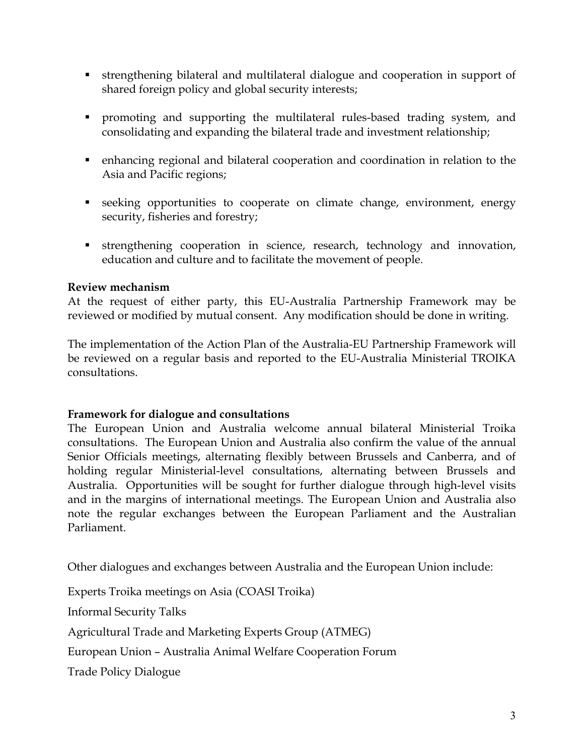- strengthening bilateral and multilateral dialogue and cooperation in support of shared foreign policy and global security interests;
- promoting and supporting the multilateral rules-based trading system, and consolidating and expanding the bilateral trade and investment relationship;
- enhancing regional and bilateral cooperation and coordination in relation to the Asia and Pacific regions;
- seeking opportunities to cooperate on climate change, environment, energy security, fisheries and forestry;
- strengthening cooperation in science, research, technology and innovation, education and culture and to facilitate the movement of people.

#### **Review mechanism**

At the request of either party, this EU-Australia Partnership Framework may be reviewed or modified by mutual consent. Any modification should be done in writing.

The implementation of the Action Plan of the Australia-EU Partnership Framework will be reviewed on a regular basis and reported to the EU-Australia Ministerial TROIKA consultations.

#### **Framework for dialogue and consultations**

The European Union and Australia welcome annual bilateral Ministerial Troika consultations. The European Union and Australia also confirm the value of the annual Senior Officials meetings, alternating flexibly between Brussels and Canberra, and of holding regular Ministerial-level consultations, alternating between Brussels and Australia. Opportunities will be sought for further dialogue through high-level visits and in the margins of international meetings. The European Union and Australia also note the regular exchanges between the European Parliament and the Australian Parliament.

Other dialogues and exchanges between Australia and the European Union include:

Experts Troika meetings on Asia (COASI Troika)

Informal Security Talks

Agricultural Trade and Marketing Experts Group (ATMEG)

European Union – Australia Animal Welfare Cooperation Forum

Trade Policy Dialogue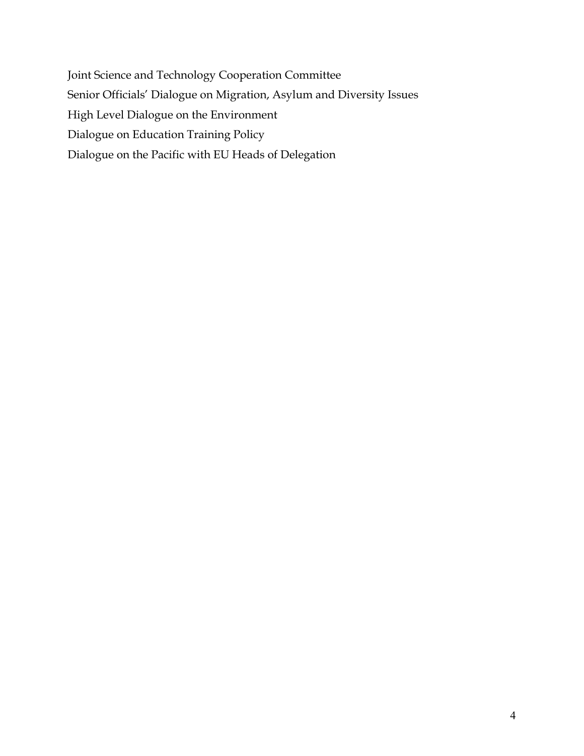Joint Science and Technology Cooperation Committee Senior Officials' Dialogue on Migration, Asylum and Diversity Issues High Level Dialogue on the Environment Dialogue on Education Training Policy Dialogue on the Pacific with EU Heads of Delegation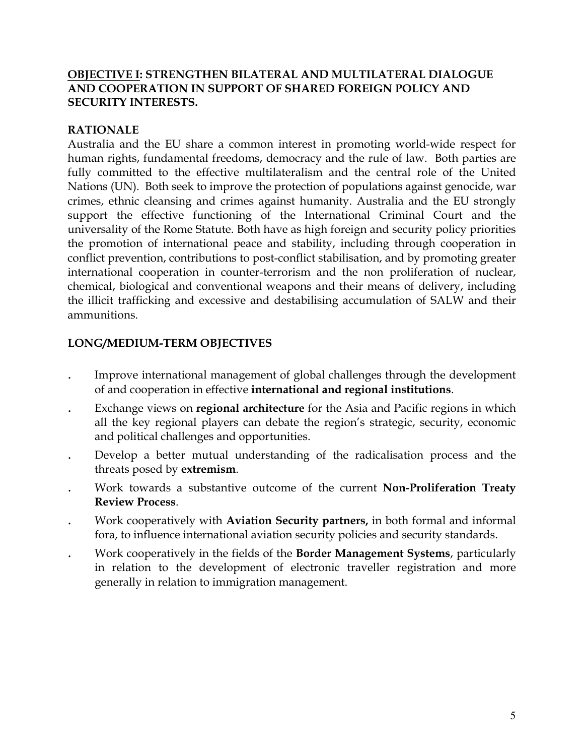#### **OBJECTIVE I: STRENGTHEN BILATERAL AND MULTILATERAL DIALOGUE AND COOPERATION IN SUPPORT OF SHARED FOREIGN POLICY AND SECURITY INTERESTS.**

#### **RATIONALE**

Australia and the EU share a common interest in promoting world-wide respect for human rights, fundamental freedoms, democracy and the rule of law. Both parties are fully committed to the effective multilateralism and the central role of the United Nations (UN). Both seek to improve the protection of populations against genocide, war crimes, ethnic cleansing and crimes against humanity. Australia and the EU strongly support the effective functioning of the International Criminal Court and the universality of the Rome Statute. Both have as high foreign and security policy priorities the promotion of international peace and stability, including through cooperation in conflict prevention, contributions to post-conflict stabilisation, and by promoting greater international cooperation in counter-terrorism and the non proliferation of nuclear, chemical, biological and conventional weapons and their means of delivery, including the illicit trafficking and excessive and destabilising accumulation of SALW and their ammunitions.

### **LONG/MEDIUM-TERM OBJECTIVES**

- . Improve international management of global challenges through the development of and cooperation in effective **international and regional institutions**.
- . Exchange views on **regional architecture** for the Asia and Pacific regions in which all the key regional players can debate the region's strategic, security, economic and political challenges and opportunities.
- . Develop a better mutual understanding of the radicalisation process and the threats posed by **extremism**.
- . Work towards a substantive outcome of the current **Non-Proliferation Treaty Review Process**.
- . Work cooperatively with **Aviation Security partners,** in both formal and informal fora, to influence international aviation security policies and security standards.
- . Work cooperatively in the fields of the **Border Management Systems**, particularly in relation to the development of electronic traveller registration and more generally in relation to immigration management.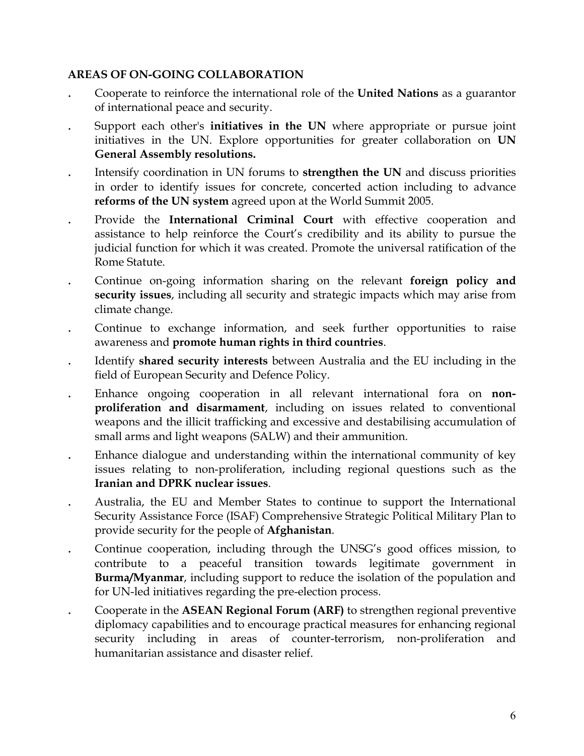- . Cooperate to reinforce the international role of the **United Nations** as a guarantor of international peace and security.
- . Support each other's **initiatives in the UN** where appropriate or pursue joint initiatives in the UN. Explore opportunities for greater collaboration on **UN General Assembly resolutions.**
- . Intensify coordination in UN forums to **strengthen the UN** and discuss priorities in order to identify issues for concrete, concerted action including to advance **reforms of the UN system** agreed upon at the World Summit 2005.
- . Provide the **International Criminal Court** with effective cooperation and assistance to help reinforce the Court's credibility and its ability to pursue the judicial function for which it was created. Promote the universal ratification of the Rome Statute.
- . Continue on-going information sharing on the relevant **foreign policy and security issues**, including all security and strategic impacts which may arise from climate change.
- . Continue to exchange information, and seek further opportunities to raise awareness and **promote human rights in third countries**.
- . Identify **shared security interests** between Australia and the EU including in the field of European Security and Defence Policy.
- . Enhance ongoing cooperation in all relevant international fora on **nonproliferation and disarmament**, including on issues related to conventional weapons and the illicit trafficking and excessive and destabilising accumulation of small arms and light weapons (SALW) and their ammunition.
- . Enhance dialogue and understanding within the international community of key issues relating to non-proliferation, including regional questions such as the **Iranian and DPRK nuclear issues**.
- . Australia, the EU and Member States to continue to support the International Security Assistance Force (ISAF) Comprehensive Strategic Political Military Plan to provide security for the people of **Afghanistan**.
- . Continue cooperation, including through the UNSG's good offices mission, to contribute to a peaceful transition towards legitimate government in **Burma/Myanmar**, including support to reduce the isolation of the population and for UN-led initiatives regarding the pre-election process.
- . Cooperate in the **ASEAN Regional Forum (ARF)** to strengthen regional preventive diplomacy capabilities and to encourage practical measures for enhancing regional security including in areas of counter-terrorism, non-proliferation and humanitarian assistance and disaster relief.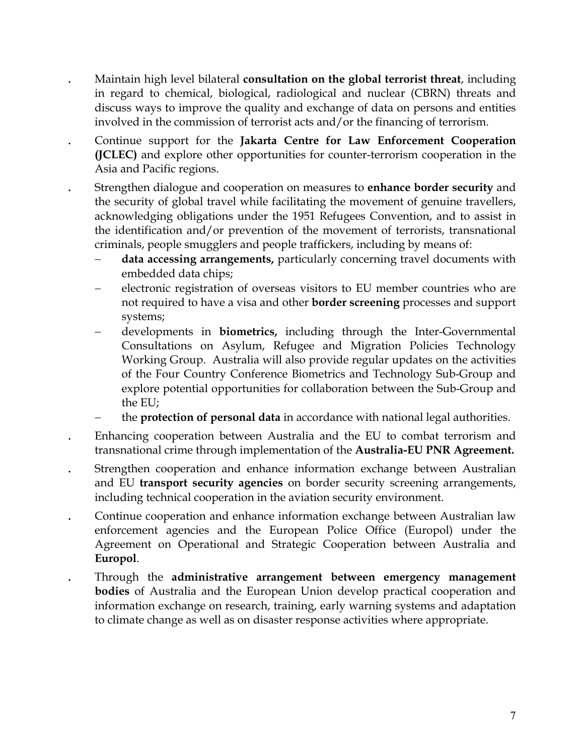. Maintain high level bilateral **consultation on the global terrorist threat**, including in regard to chemical, biological, radiological and nuclear (CBRN) threats and discuss ways to improve the quality and exchange of data on persons and entities involved in the commission of terrorist acts and/or the financing of terrorism.

. Continue support for the **Jakarta Centre for Law Enforcement Cooperation (JCLEC)** and explore other opportunities for counter-terrorism cooperation in the Asia and Pacific regions.

- . Strengthen dialogue and cooperation on measures to **enhance border security** and the security of global travel while facilitating the movement of genuine travellers, acknowledging obligations under the 1951 Refugees Convention, and to assist in the identification and/or prevention of the movement of terrorists, transnational criminals, people smugglers and people traffickers, including by means of:
	- data accessing arrangements, particularly concerning travel documents with embedded data chips;
	- − electronic registration of overseas visitors to EU member countries who are not required to have a visa and other **border screening** processes and support systems;
	- − developments in **biometrics,** including through the Inter-Governmental Consultations on Asylum, Refugee and Migration Policies Technology Working Group. Australia will also provide regular updates on the activities of the Four Country Conference Biometrics and Technology Sub-Group and explore potential opportunities for collaboration between the Sub-Group and the EU;
	- the **protection of personal data** in accordance with national legal authorities.
- . Enhancing cooperation between Australia and the EU to combat terrorism and transnational crime through implementation of the **Australia-EU PNR Agreement.**
- . Strengthen cooperation and enhance information exchange between Australian and EU **transport security agencies** on border security screening arrangements, including technical cooperation in the aviation security environment.
- . Continue cooperation and enhance information exchange between Australian law enforcement agencies and the European Police Office (Europol) under the Agreement on Operational and Strategic Cooperation between Australia and **Europol**.
- . Through the **administrative arrangement between emergency management bodies** of Australia and the European Union develop practical cooperation and information exchange on research, training, early warning systems and adaptation to climate change as well as on disaster response activities where appropriate.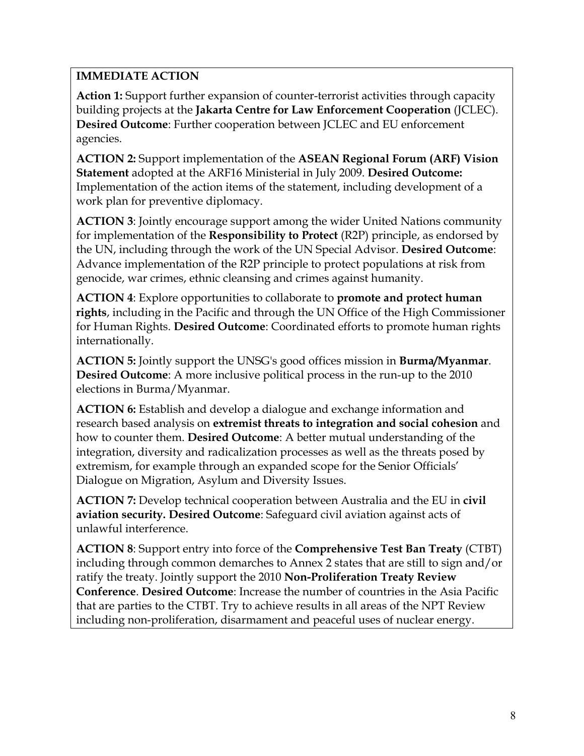**Action 1:** Support further expansion of counter-terrorist activities through capacity building projects at the **Jakarta Centre for Law Enforcement Cooperation** (JCLEC). **Desired Outcome**: Further cooperation between JCLEC and EU enforcement agencies.

**ACTION 2:** Support implementation of the **ASEAN Regional Forum (ARF) Vision Statement** adopted at the ARF16 Ministerial in July 2009. **Desired Outcome:**  Implementation of the action items of the statement, including development of a work plan for preventive diplomacy.

**ACTION 3**: Jointly encourage support among the wider United Nations community for implementation of the **Responsibility to Protect** (R2P) principle, as endorsed by the UN, including through the work of the UN Special Advisor. **Desired Outcome**: Advance implementation of the R2P principle to protect populations at risk from genocide, war crimes, ethnic cleansing and crimes against humanity.

**ACTION 4**: Explore opportunities to collaborate to **promote and protect human rights**, including in the Pacific and through the UN Office of the High Commissioner for Human Rights. **Desired Outcome**: Coordinated efforts to promote human rights internationally.

**ACTION 5:** Jointly support the UNSG's good offices mission in **Burma/Myanmar**. **Desired Outcome**: A more inclusive political process in the run-up to the 2010 elections in Burma/Myanmar.

**ACTION 6:** Establish and develop a dialogue and exchange information and research based analysis on **extremist threats to integration and social cohesion** and how to counter them. **Desired Outcome**: A better mutual understanding of the integration, diversity and radicalization processes as well as the threats posed by extremism, for example through an expanded scope for the Senior Officials' Dialogue on Migration, Asylum and Diversity Issues.

**ACTION 7:** Develop technical cooperation between Australia and the EU in **civil aviation security. Desired Outcome**: Safeguard civil aviation against acts of unlawful interference.

**ACTION 8**: Support entry into force of the **Comprehensive Test Ban Treaty** (CTBT) including through common demarches to Annex 2 states that are still to sign and/or ratify the treaty. Jointly support the 2010 **Non-Proliferation Treaty Review Conference**. **Desired Outcome**: Increase the number of countries in the Asia Pacific that are parties to the CTBT. Try to achieve results in all areas of the NPT Review including non-proliferation, disarmament and peaceful uses of nuclear energy.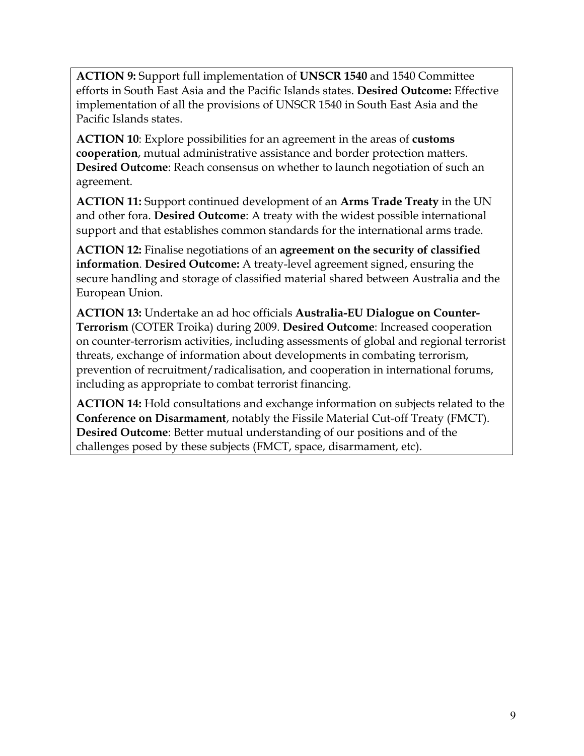**ACTION 9:** Support full implementation of **UNSCR 1540** and 1540 Committee efforts in South East Asia and the Pacific Islands states. **Desired Outcome:** Effective implementation of all the provisions of UNSCR 1540 in South East Asia and the Pacific Islands states.

**ACTION 10**: Explore possibilities for an agreement in the areas of **customs cooperation**, mutual administrative assistance and border protection matters. **Desired Outcome**: Reach consensus on whether to launch negotiation of such an agreement.

**ACTION 11:** Support continued development of an **Arms Trade Treaty** in the UN and other fora. **Desired Outcome**: A treaty with the widest possible international support and that establishes common standards for the international arms trade.

**ACTION 12:** Finalise negotiations of an **agreement on the security of classified information**. **Desired Outcome:** A treaty-level agreement signed, ensuring the secure handling and storage of classified material shared between Australia and the European Union.

**ACTION 13:** Undertake an ad hoc officials **Australia-EU Dialogue on Counter-Terrorism** (COTER Troika) during 2009. **Desired Outcome**: Increased cooperation on counter-terrorism activities, including assessments of global and regional terrorist threats, exchange of information about developments in combating terrorism, prevention of recruitment/radicalisation, and cooperation in international forums, including as appropriate to combat terrorist financing.

**ACTION 14:** Hold consultations and exchange information on subjects related to the **Conference on Disarmament**, notably the Fissile Material Cut-off Treaty (FMCT). **Desired Outcome**: Better mutual understanding of our positions and of the challenges posed by these subjects (FMCT, space, disarmament, etc).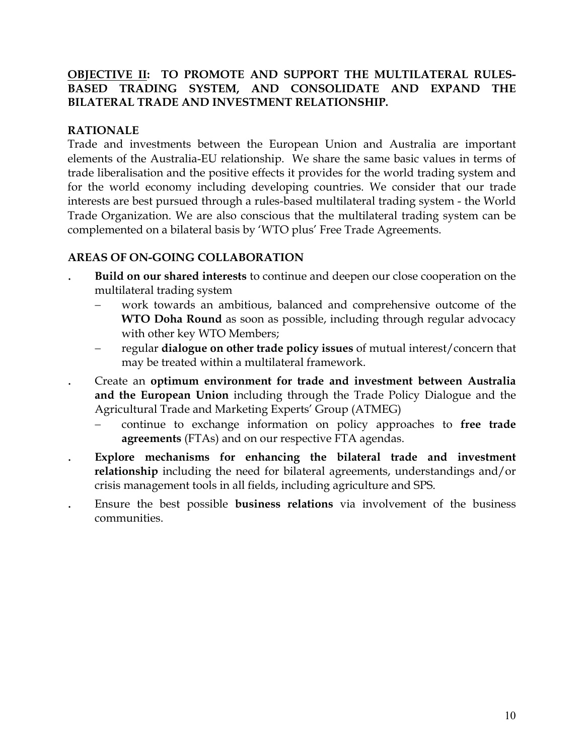#### **OBJECTIVE II: TO PROMOTE AND SUPPORT THE MULTILATERAL RULES-BASED TRADING SYSTEM, AND CONSOLIDATE AND EXPAND THE BILATERAL TRADE AND INVESTMENT RELATIONSHIP.**

### **RATIONALE**

Trade and investments between the European Union and Australia are important elements of the Australia-EU relationship. We share the same basic values in terms of trade liberalisation and the positive effects it provides for the world trading system and for the world economy including developing countries. We consider that our trade interests are best pursued through a rules-based multilateral trading system - the World Trade Organization. We are also conscious that the multilateral trading system can be complemented on a bilateral basis by 'WTO plus' Free Trade Agreements.

- . **Build on our shared interests** to continue and deepen our close cooperation on the multilateral trading system
	- − work towards an ambitious, balanced and comprehensive outcome of the **WTO Doha Round** as soon as possible, including through regular advocacy with other key WTO Members;
	- − regular **dialogue on other trade policy issues** of mutual interest/concern that may be treated within a multilateral framework.
- . Create an **optimum environment for trade and investment between Australia and the European Union** including through the Trade Policy Dialogue and the Agricultural Trade and Marketing Experts' Group (ATMEG)
	- − continue to exchange information on policy approaches to **free trade agreements** (FTAs) and on our respective FTA agendas.
- . **Explore mechanisms for enhancing the bilateral trade and investment relationship** including the need for bilateral agreements, understandings and/or crisis management tools in all fields, including agriculture and SPS.
- . Ensure the best possible **business relations** via involvement of the business communities.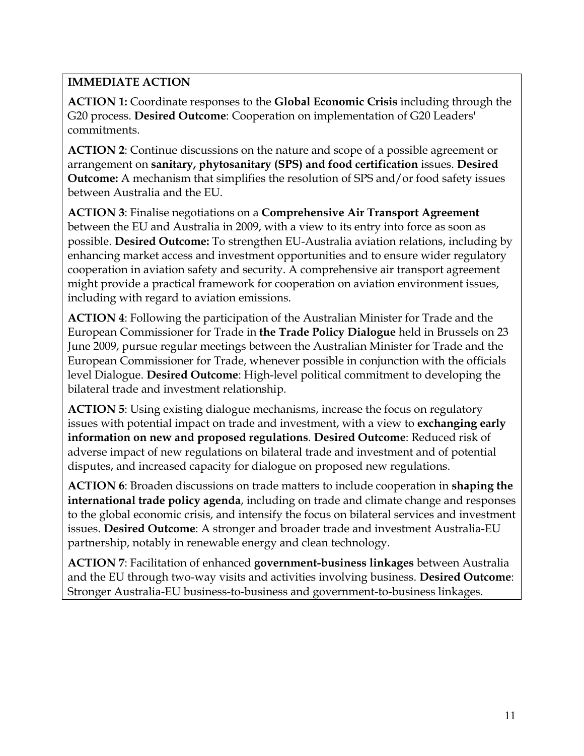**ACTION 1:** Coordinate responses to the **Global Economic Crisis** including through the G20 process. **Desired Outcome**: Cooperation on implementation of G20 Leaders' commitments.

**ACTION 2**: Continue discussions on the nature and scope of a possible agreement or arrangement on **sanitary, phytosanitary (SPS) and food certification** issues. **Desired Outcome:** A mechanism that simplifies the resolution of SPS and/or food safety issues between Australia and the EU.

**ACTION 3**: Finalise negotiations on a **Comprehensive Air Transport Agreement**  between the EU and Australia in 2009, with a view to its entry into force as soon as possible. **Desired Outcome:** To strengthen EU-Australia aviation relations, including by enhancing market access and investment opportunities and to ensure wider regulatory cooperation in aviation safety and security. A comprehensive air transport agreement might provide a practical framework for cooperation on aviation environment issues, including with regard to aviation emissions.

**ACTION 4**: Following the participation of the Australian Minister for Trade and the European Commissioner for Trade in **the Trade Policy Dialogue** held in Brussels on 23 June 2009, pursue regular meetings between the Australian Minister for Trade and the European Commissioner for Trade, whenever possible in conjunction with the officials level Dialogue. **Desired Outcome**: High-level political commitment to developing the bilateral trade and investment relationship.

**ACTION 5**: Using existing dialogue mechanisms, increase the focus on regulatory issues with potential impact on trade and investment, with a view to **exchanging early information on new and proposed regulations**. **Desired Outcome**: Reduced risk of adverse impact of new regulations on bilateral trade and investment and of potential disputes, and increased capacity for dialogue on proposed new regulations.

**ACTION 6**: Broaden discussions on trade matters to include cooperation in **shaping the international trade policy agenda**, including on trade and climate change and responses to the global economic crisis, and intensify the focus on bilateral services and investment issues. **Desired Outcome**: A stronger and broader trade and investment Australia-EU partnership, notably in renewable energy and clean technology.

**ACTION 7**: Facilitation of enhanced **government-business linkages** between Australia and the EU through two-way visits and activities involving business. **Desired Outcome**: Stronger Australia-EU business-to-business and government-to-business linkages.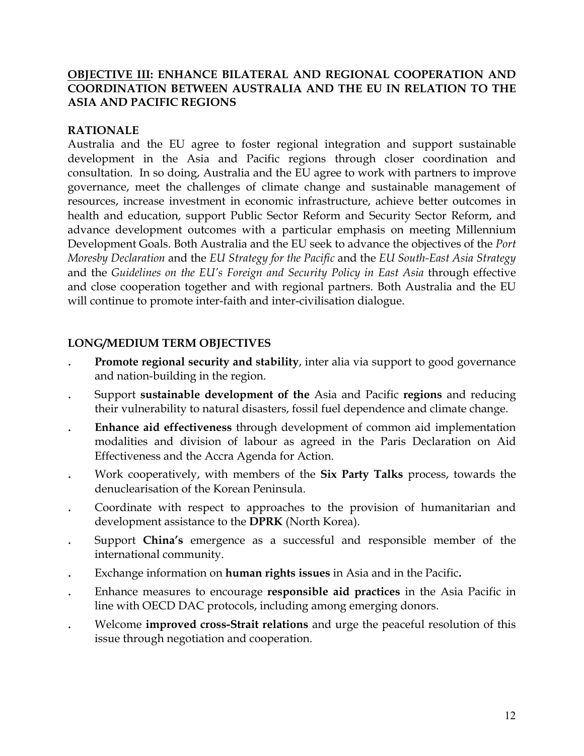#### **OBJECTIVE III: ENHANCE BILATERAL AND REGIONAL COOPERATION AND COORDINATION BETWEEN AUSTRALIA AND THE EU IN RELATION TO THE ASIA AND PACIFIC REGIONS**

#### **RATIONALE**

Australia and the EU agree to foster regional integration and support sustainable development in the Asia and Pacific regions through closer coordination and consultation. In so doing, Australia and the EU agree to work with partners to improve governance, meet the challenges of climate change and sustainable management of resources, increase investment in economic infrastructure, achieve better outcomes in health and education, support Public Sector Reform and Security Sector Reform, and advance development outcomes with a particular emphasis on meeting Millennium Development Goals. Both Australia and the EU seek to advance the objectives of the *Port Moresby Declaration* and the *EU Strategy for the Pacific* and the *EU South-East Asia Strategy* and the *Guidelines on the EU's Foreign and Security Policy in East Asia* through effective and close cooperation together and with regional partners. Both Australia and the EU will continue to promote inter-faith and inter-civilisation dialogue.

### **LONG/MEDIUM TERM OBJECTIVES**

- **Promote regional security and stability**, inter alia via support to good governance and nation-building in the region.
- . Support **sustainable development of the** Asia and Pacific **regions** and reducing their vulnerability to natural disasters, fossil fuel dependence and climate change.
- . **Enhance aid effectiveness** through development of common aid implementation modalities and division of labour as agreed in the Paris Declaration on Aid Effectiveness and the Accra Agenda for Action.
- . Work cooperatively, with members of the **Six Party Talks** process, towards the denuclearisation of the Korean Peninsula.
- . Coordinate with respect to approaches to the provision of humanitarian and development assistance to the **DPRK** (North Korea).
- . Support **China's** emergence as a successful and responsible member of the international community.
- . Exchange information on **human rights issues** in Asia and in the Pacific**.**
- . Enhance measures to encourage **responsible aid practices** in the Asia Pacific in line with OECD DAC protocols, including among emerging donors.
- . Welcome **improved cross-Strait relations** and urge the peaceful resolution of this issue through negotiation and cooperation.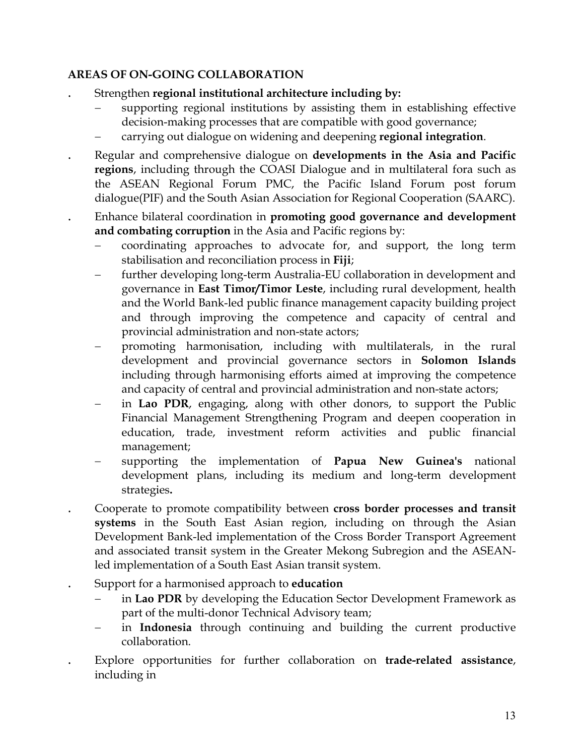- . Strengthen **regional institutional architecture including by:** 
	- supporting regional institutions by assisting them in establishing effective decision-making processes that are compatible with good governance;
	- − carrying out dialogue on widening and deepening **regional integration**.
- . Regular and comprehensive dialogue on **developments in the Asia and Pacific regions**, including through the COASI Dialogue and in multilateral fora such as the ASEAN Regional Forum PMC, the Pacific Island Forum post forum dialogue(PIF) and the South Asian Association for Regional Cooperation (SAARC).
- . Enhance bilateral coordination in **promoting good governance and development and combating corruption** in the Asia and Pacific regions by:
	- − coordinating approaches to advocate for, and support, the long term stabilisation and reconciliation process in **Fiji**;
	- further developing long-term Australia-EU collaboration in development and governance in **East Timor/Timor Leste**, including rural development, health and the World Bank-led public finance management capacity building project and through improving the competence and capacity of central and provincial administration and non-state actors;
	- promoting harmonisation, including with multilaterals, in the rural development and provincial governance sectors in **Solomon Islands**  including through harmonising efforts aimed at improving the competence and capacity of central and provincial administration and non-state actors;
	- in Lao PDR, engaging, along with other donors, to support the Public Financial Management Strengthening Program and deepen cooperation in education, trade, investment reform activities and public financial management;
	- − supporting the implementation of **Papua New Guinea's** national development plans, including its medium and long-term development strategies**.**
- . Cooperate to promote compatibility between **cross border processes and transit systems** in the South East Asian region, including on through the Asian Development Bank-led implementation of the Cross Border Transport Agreement and associated transit system in the Greater Mekong Subregion and the ASEANled implementation of a South East Asian transit system.
- . Support for a harmonised approach to **education**
	- in **Lao PDR** by developing the Education Sector Development Framework as part of the multi-donor Technical Advisory team;
	- − in **Indonesia** through continuing and building the current productive collaboration.
- . Explore opportunities for further collaboration on **trade-related assistance**, including in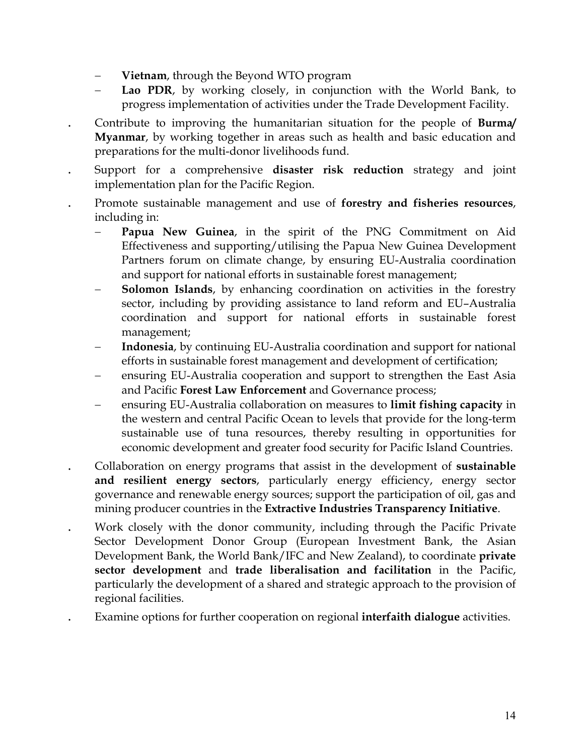- − **Vietnam**, through the Beyond WTO program
- Lao PDR, by working closely, in conjunction with the World Bank, to progress implementation of activities under the Trade Development Facility.
- . Contribute to improving the humanitarian situation for the people of **Burma/ Myanmar**, by working together in areas such as health and basic education and preparations for the multi-donor livelihoods fund.
- . Support for a comprehensive **disaster risk reduction** strategy and joint implementation plan for the Pacific Region.
- . Promote sustainable management and use of **forestry and fisheries resources**, including in:
	- Papua New Guinea, in the spirit of the PNG Commitment on Aid Effectiveness and supporting/utilising the Papua New Guinea Development Partners forum on climate change, by ensuring EU-Australia coordination and support for national efforts in sustainable forest management;
	- **Solomon Islands**, by enhancing coordination on activities in the forestry sector, including by providing assistance to land reform and EU–Australia coordination and support for national efforts in sustainable forest management;
	- **Indonesia**, by continuing EU-Australia coordination and support for national efforts in sustainable forest management and development of certification;
	- ensuring EU-Australia cooperation and support to strengthen the East Asia and Pacific **Forest Law Enforcement** and Governance process;
	- − ensuring EU-Australia collaboration on measures to **limit fishing capacity** in the western and central Pacific Ocean to levels that provide for the long-term sustainable use of tuna resources, thereby resulting in opportunities for economic development and greater food security for Pacific Island Countries.
- . Collaboration on energy programs that assist in the development of **sustainable and resilient energy sectors**, particularly energy efficiency, energy sector governance and renewable energy sources; support the participation of oil, gas and mining producer countries in the **Extractive Industries Transparency Initiative**.
- . Work closely with the donor community, including through the Pacific Private Sector Development Donor Group (European Investment Bank, the Asian Development Bank, the World Bank/IFC and New Zealand), to coordinate **private sector development** and **trade liberalisation and facilitation** in the Pacific, particularly the development of a shared and strategic approach to the provision of regional facilities.
- . Examine options for further cooperation on regional **interfaith dialogue** activities.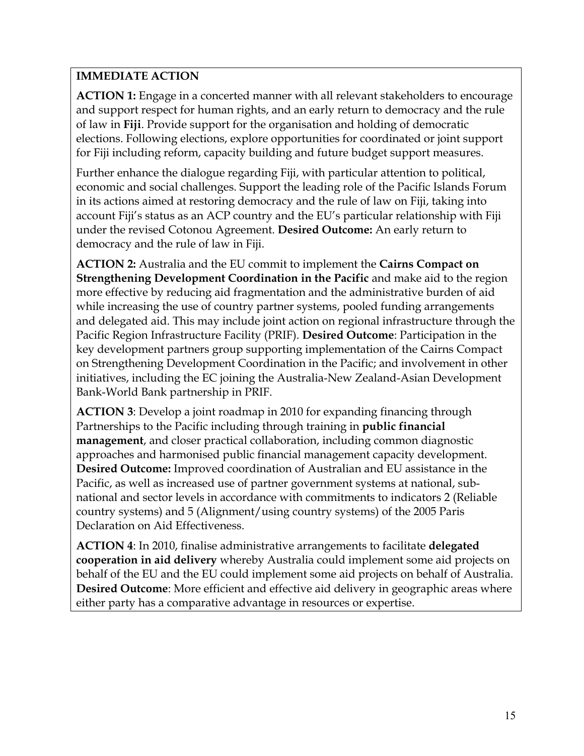**ACTION 1:** Engage in a concerted manner with all relevant stakeholders to encourage and support respect for human rights, and an early return to democracy and the rule of law in **Fiji**. Provide support for the organisation and holding of democratic elections. Following elections, explore opportunities for coordinated or joint support for Fiji including reform, capacity building and future budget support measures.

Further enhance the dialogue regarding Fiji, with particular attention to political, economic and social challenges. Support the leading role of the Pacific Islands Forum in its actions aimed at restoring democracy and the rule of law on Fiji, taking into account Fiji's status as an ACP country and the EU's particular relationship with Fiji under the revised Cotonou Agreement. **Desired Outcome:** An early return to democracy and the rule of law in Fiji.

**ACTION 2:** Australia and the EU commit to implement the **Cairns Compact on Strengthening Development Coordination in the Pacific** and make aid to the region more effective by reducing aid fragmentation and the administrative burden of aid while increasing the use of country partner systems, pooled funding arrangements and delegated aid. This may include joint action on regional infrastructure through the Pacific Region Infrastructure Facility (PRIF). **Desired Outcome**: Participation in the key development partners group supporting implementation of the Cairns Compact on Strengthening Development Coordination in the Pacific; and involvement in other initiatives, including the EC joining the Australia-New Zealand-Asian Development Bank-World Bank partnership in PRIF.

**ACTION 3**: Develop a joint roadmap in 2010 for expanding financing through Partnerships to the Pacific including through training in **public financial management**, and closer practical collaboration, including common diagnostic approaches and harmonised public financial management capacity development. **Desired Outcome:** Improved coordination of Australian and EU assistance in the Pacific, as well as increased use of partner government systems at national, subnational and sector levels in accordance with commitments to indicators 2 (Reliable country systems) and 5 (Alignment/using country systems) of the 2005 Paris Declaration on Aid Effectiveness.

**ACTION 4**: In 2010, finalise administrative arrangements to facilitate **delegated cooperation in aid delivery** whereby Australia could implement some aid projects on behalf of the EU and the EU could implement some aid projects on behalf of Australia. **Desired Outcome**: More efficient and effective aid delivery in geographic areas where either party has a comparative advantage in resources or expertise.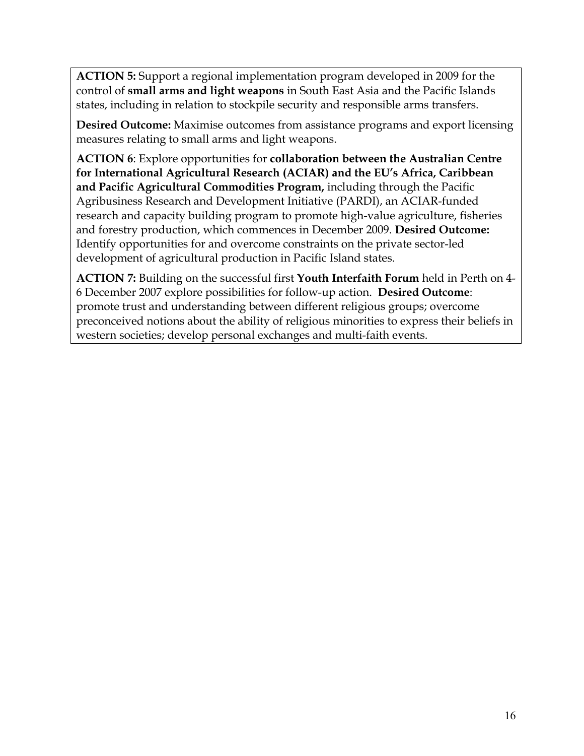**ACTION 5:** Support a regional implementation program developed in 2009 for the control of **small arms and light weapons** in South East Asia and the Pacific Islands states, including in relation to stockpile security and responsible arms transfers.

**Desired Outcome:** Maximise outcomes from assistance programs and export licensing measures relating to small arms and light weapons.

**ACTION 6**: Explore opportunities for **collaboration between the Australian Centre for International Agricultural Research (ACIAR) and the EU's Africa, Caribbean and Pacific Agricultural Commodities Program,** including through the Pacific Agribusiness Research and Development Initiative (PARDI), an ACIAR-funded research and capacity building program to promote high-value agriculture, fisheries and forestry production, which commences in December 2009. **Desired Outcome:** Identify opportunities for and overcome constraints on the private sector-led development of agricultural production in Pacific Island states.

**ACTION 7:** Building on the successful first **Youth Interfaith Forum** held in Perth on 4- 6 December 2007 explore possibilities for follow-up action. **Desired Outcome**: promote trust and understanding between different religious groups; overcome preconceived notions about the ability of religious minorities to express their beliefs in western societies; develop personal exchanges and multi-faith events.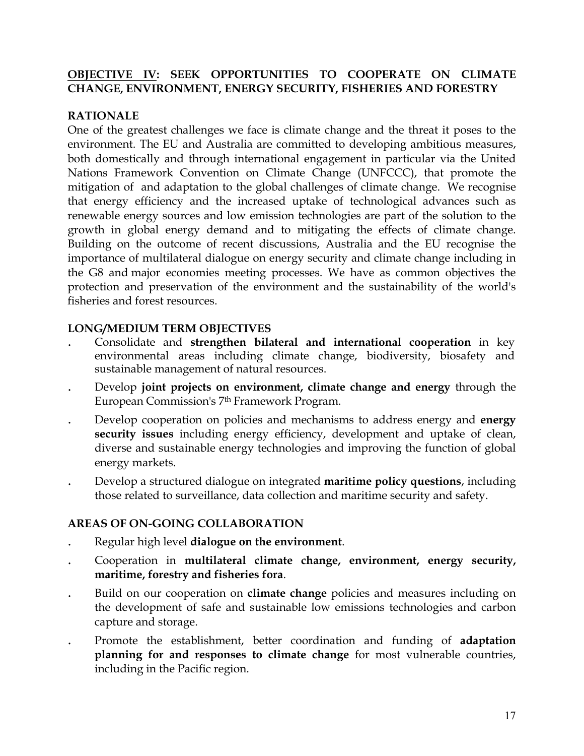### **OBJECTIVE IV: SEEK OPPORTUNITIES TO COOPERATE ON CLIMATE CHANGE, ENVIRONMENT, ENERGY SECURITY, FISHERIES AND FORESTRY**

#### **RATIONALE**

One of the greatest challenges we face is climate change and the threat it poses to the environment. The EU and Australia are committed to developing ambitious measures, both domestically and through international engagement in particular via the United Nations Framework Convention on Climate Change (UNFCCC), that promote the mitigation of and adaptation to the global challenges of climate change. We recognise that energy efficiency and the increased uptake of technological advances such as renewable energy sources and low emission technologies are part of the solution to the growth in global energy demand and to mitigating the effects of climate change. Building on the outcome of recent discussions, Australia and the EU recognise the importance of multilateral dialogue on energy security and climate change including in the G8 and major economies meeting processes. We have as common objectives the protection and preservation of the environment and the sustainability of the world's fisheries and forest resources.

#### **LONG/MEDIUM TERM OBJECTIVES**

- . Consolidate and **strengthen bilateral and international cooperation** in key environmental areas including climate change, biodiversity, biosafety and sustainable management of natural resources.
- . Develop **joint projects on environment, climate change and energy** through the European Commission's 7th Framework Program.
- . Develop cooperation on policies and mechanisms to address energy and **energy security issues** including energy efficiency, development and uptake of clean, diverse and sustainable energy technologies and improving the function of global energy markets.
- . Develop a structured dialogue on integrated **maritime policy questions**, including those related to surveillance, data collection and maritime security and safety.

- . Regular high level **dialogue on the environment**.
- . Cooperation in **multilateral climate change, environment, energy security, maritime, forestry and fisheries fora**.
- . Build on our cooperation on **climate change** policies and measures including on the development of safe and sustainable low emissions technologies and carbon capture and storage.
- . Promote the establishment, better coordination and funding of **adaptation planning for and responses to climate change** for most vulnerable countries, including in the Pacific region.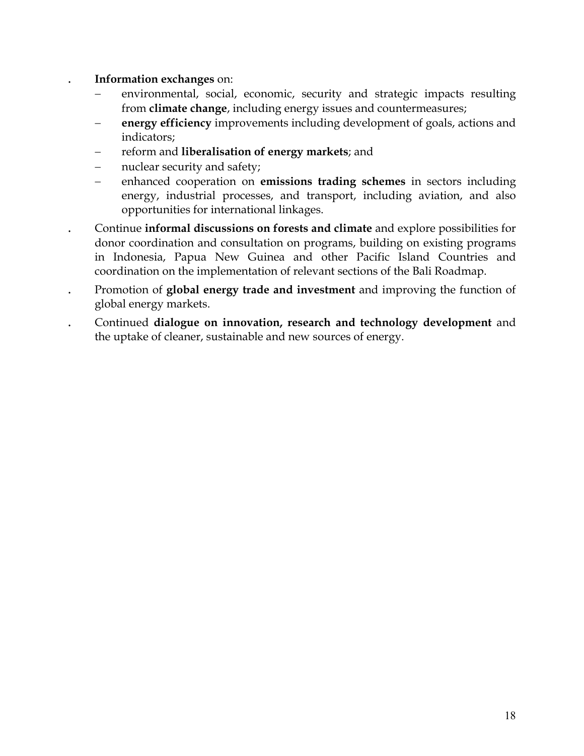#### . **Information exchanges** on:

- environmental, social, economic, security and strategic impacts resulting from **climate change**, including energy issues and countermeasures;
- **energy efficiency** improvements including development of goals, actions and indicators;
- − reform and **liberalisation of energy markets**; and
- nuclear security and safety;
- − enhanced cooperation on **emissions trading schemes** in sectors including energy, industrial processes, and transport, including aviation, and also opportunities for international linkages.
- . Continue **informal discussions on forests and climate** and explore possibilities for donor coordination and consultation on programs, building on existing programs in Indonesia, Papua New Guinea and other Pacific Island Countries and coordination on the implementation of relevant sections of the Bali Roadmap.
- . Promotion of **global energy trade and investment** and improving the function of global energy markets.
- . Continued **dialogue on innovation, research and technology development** and the uptake of cleaner, sustainable and new sources of energy.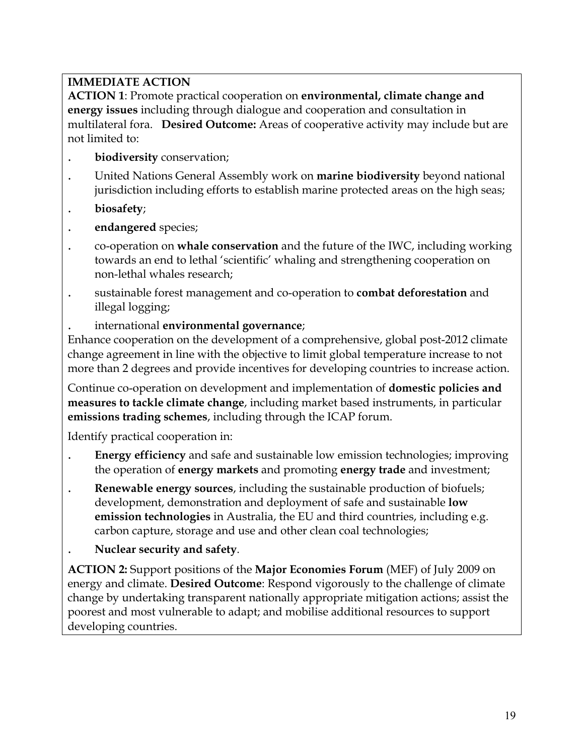**ACTION 1**: Promote practical cooperation on **environmental, climate change and energy issues** including through dialogue and cooperation and consultation in multilateral fora. **Desired Outcome:** Areas of cooperative activity may include but are not limited to:

- . **biodiversity** conservation;
- . United Nations General Assembly work on **marine biodiversity** beyond national jurisdiction including efforts to establish marine protected areas on the high seas;
- . **biosafety**;
- . **endangered** species;
- . co-operation on **whale conservation** and the future of the IWC, including working towards an end to lethal 'scientific' whaling and strengthening cooperation on non-lethal whales research;
- . sustainable forest management and co-operation to **combat deforestation** and illegal logging;
- . international **environmental governance**;

Enhance cooperation on the development of a comprehensive, global post-2012 climate change agreement in line with the objective to limit global temperature increase to not more than 2 degrees and provide incentives for developing countries to increase action.

Continue co-operation on development and implementation of **domestic policies and measures to tackle climate change**, including market based instruments, in particular **emissions trading schemes**, including through the ICAP forum.

Identify practical cooperation in:

- . **Energy efficiency** and safe and sustainable low emission technologies; improving the operation of **energy markets** and promoting **energy trade** and investment;
- . **Renewable energy sources**, including the sustainable production of biofuels; development, demonstration and deployment of safe and sustainable **low emission technologies** in Australia, the EU and third countries, including e.g. carbon capture, storage and use and other clean coal technologies;
- . **Nuclear security and safety**.

**ACTION 2:** Support positions of the **Major Economies Forum** (MEF) of July 2009 on energy and climate. **Desired Outcome**: Respond vigorously to the challenge of climate change by undertaking transparent nationally appropriate mitigation actions; assist the poorest and most vulnerable to adapt; and mobilise additional resources to support developing countries.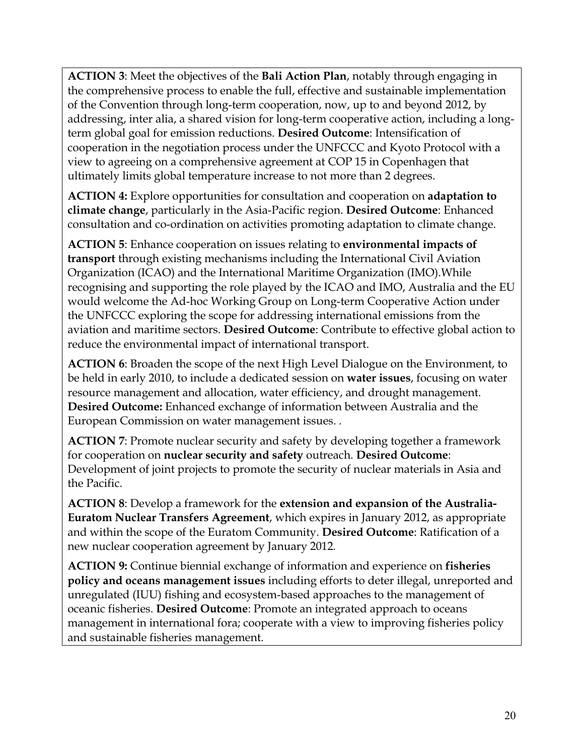**ACTION 3**: Meet the objectives of the **Bali Action Plan**, notably through engaging in the comprehensive process to enable the full, effective and sustainable implementation of the Convention through long-term cooperation, now, up to and beyond 2012, by addressing, inter alia, a shared vision for long-term cooperative action, including a longterm global goal for emission reductions. **Desired Outcome**: Intensification of cooperation in the negotiation process under the UNFCCC and Kyoto Protocol with a view to agreeing on a comprehensive agreement at COP 15 in Copenhagen that ultimately limits global temperature increase to not more than 2 degrees.

**ACTION 4:** Explore opportunities for consultation and cooperation on **adaptation to climate change**, particularly in the Asia-Pacific region. **Desired Outcome**: Enhanced consultation and co-ordination on activities promoting adaptation to climate change.

**ACTION 5**: Enhance cooperation on issues relating to **environmental impacts of transport** through existing mechanisms including the International Civil Aviation Organization (ICAO) and the International Maritime Organization (IMO).While recognising and supporting the role played by the ICAO and IMO, Australia and the EU would welcome the Ad-hoc Working Group on Long-term Cooperative Action under the UNFCCC exploring the scope for addressing international emissions from the aviation and maritime sectors. **Desired Outcome**: Contribute to effective global action to reduce the environmental impact of international transport.

**ACTION 6**: Broaden the scope of the next High Level Dialogue on the Environment, to be held in early 2010, to include a dedicated session on **water issues**, focusing on water resource management and allocation, water efficiency, and drought management. **Desired Outcome:** Enhanced exchange of information between Australia and the European Commission on water management issues. *.* 

**ACTION 7**: Promote nuclear security and safety by developing together a framework for cooperation on **nuclear security and safety** outreach. **Desired Outcome**: Development of joint projects to promote the security of nuclear materials in Asia and the Pacific.

**ACTION 8**: Develop a framework for the **extension and expansion of the Australia-Euratom Nuclear Transfers Agreement**, which expires in January 2012, as appropriate and within the scope of the Euratom Community. **Desired Outcome**: Ratification of a new nuclear cooperation agreement by January 2012*.* 

**ACTION 9:** Continue biennial exchange of information and experience on **fisheries policy and oceans management issues** including efforts to deter illegal, unreported and unregulated (IUU) fishing and ecosystem-based approaches to the management of oceanic fisheries. **Desired Outcome**: Promote an integrated approach to oceans management in international fora; cooperate with a view to improving fisheries policy and sustainable fisheries management.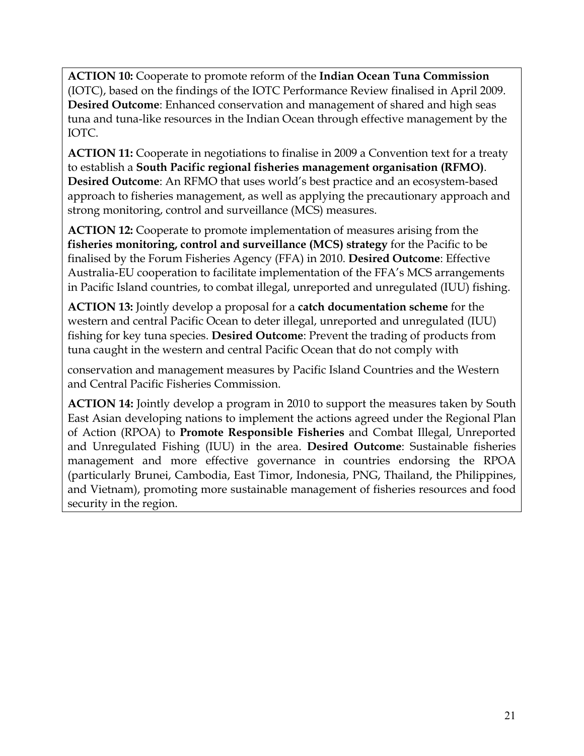**ACTION 10:** Cooperate to promote reform of the **Indian Ocean Tuna Commission**  (IOTC), based on the findings of the IOTC Performance Review finalised in April 2009. **Desired Outcome**: Enhanced conservation and management of shared and high seas tuna and tuna-like resources in the Indian Ocean through effective management by the IOTC.

**ACTION 11:** Cooperate in negotiations to finalise in 2009 a Convention text for a treaty to establish a **South Pacific regional fisheries management organisation (RFMO)**. **Desired Outcome**: An RFMO that uses world's best practice and an ecosystem-based approach to fisheries management, as well as applying the precautionary approach and strong monitoring, control and surveillance (MCS) measures.

**ACTION 12:** Cooperate to promote implementation of measures arising from the **fisheries monitoring, control and surveillance (MCS) strategy** for the Pacific to be finalised by the Forum Fisheries Agency (FFA) in 2010. **Desired Outcome**: Effective Australia-EU cooperation to facilitate implementation of the FFA's MCS arrangements in Pacific Island countries, to combat illegal, unreported and unregulated (IUU) fishing.

**ACTION 13:** Jointly develop a proposal for a **catch documentation scheme** for the western and central Pacific Ocean to deter illegal, unreported and unregulated (IUU) fishing for key tuna species. **Desired Outcome**: Prevent the trading of products from tuna caught in the western and central Pacific Ocean that do not comply with

conservation and management measures by Pacific Island Countries and the Western and Central Pacific Fisheries Commission.

**ACTION 14:** Jointly develop a program in 2010 to support the measures taken by South East Asian developing nations to implement the actions agreed under the Regional Plan of Action (RPOA) to **Promote Responsible Fisheries** and Combat Illegal, Unreported and Unregulated Fishing (IUU) in the area. **Desired Outcome**: Sustainable fisheries management and more effective governance in countries endorsing the RPOA (particularly Brunei, Cambodia, East Timor, Indonesia, PNG, Thailand, the Philippines, and Vietnam), promoting more sustainable management of fisheries resources and food security in the region.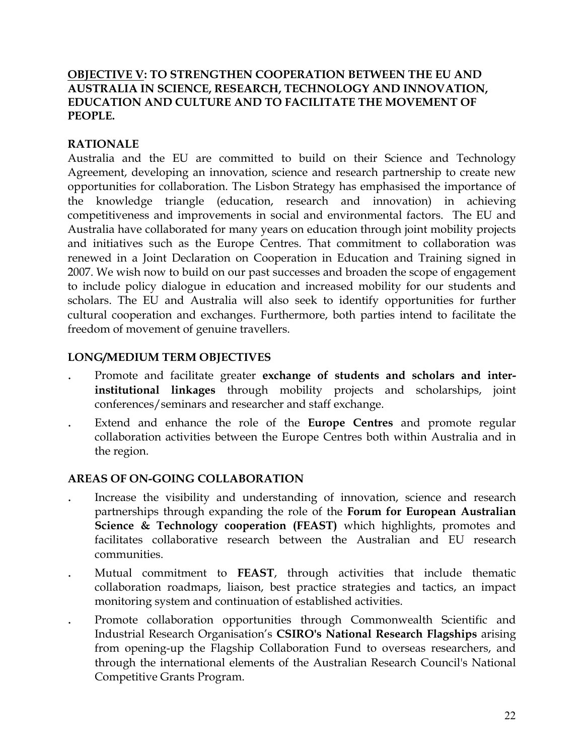#### **OBJECTIVE V: TO STRENGTHEN COOPERATION BETWEEN THE EU AND AUSTRALIA IN SCIENCE, RESEARCH, TECHNOLOGY AND INNOVATION, EDUCATION AND CULTURE AND TO FACILITATE THE MOVEMENT OF PEOPLE.**

#### **RATIONALE**

Australia and the EU are committed to build on their Science and Technology Agreement, developing an innovation, science and research partnership to create new opportunities for collaboration. The Lisbon Strategy has emphasised the importance of the knowledge triangle (education, research and innovation) in achieving competitiveness and improvements in social and environmental factors. The EU and Australia have collaborated for many years on education through joint mobility projects and initiatives such as the Europe Centres. That commitment to collaboration was renewed in a Joint Declaration on Cooperation in Education and Training signed in 2007. We wish now to build on our past successes and broaden the scope of engagement to include policy dialogue in education and increased mobility for our students and scholars. The EU and Australia will also seek to identify opportunities for further cultural cooperation and exchanges. Furthermore, both parties intend to facilitate the freedom of movement of genuine travellers.

### **LONG/MEDIUM TERM OBJECTIVES**

- . Promote and facilitate greater **exchange of students and scholars and interinstitutional linkages** through mobility projects and scholarships, joint conferences/seminars and researcher and staff exchange.
- . Extend and enhance the role of the **Europe Centres** and promote regular collaboration activities between the Europe Centres both within Australia and in the region.

- . Increase the visibility and understanding of innovation, science and research partnerships through expanding the role of the **Forum for European Australian Science & Technology cooperation (FEAST)** which highlights, promotes and facilitates collaborative research between the Australian and EU research communities.
- . Mutual commitment to **FEAST**, through activities that include thematic collaboration roadmaps, liaison, best practice strategies and tactics, an impact monitoring system and continuation of established activities.
- . Promote collaboration opportunities through Commonwealth Scientific and Industrial Research Organisation's **CSIRO's National Research Flagships** arising from opening-up the Flagship Collaboration Fund to overseas researchers, and through the international elements of the Australian Research Council's National Competitive Grants Program.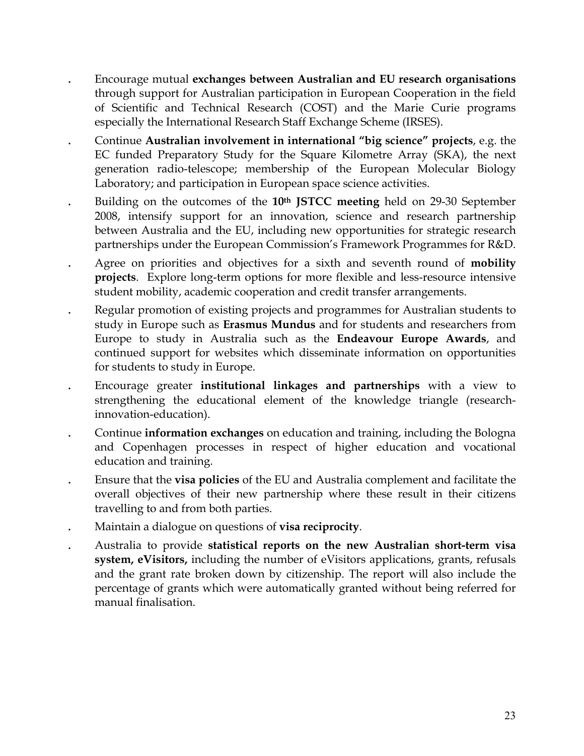- . Encourage mutual **exchanges between Australian and EU research organisations** through support for Australian participation in European Cooperation in the field of Scientific and Technical Research (COST) and the Marie Curie programs especially the International Research Staff Exchange Scheme (IRSES).
- . Continue **Australian involvement in international "big science" projects**, e.g. the EC funded Preparatory Study for the Square Kilometre Array (SKA), the next generation radio-telescope; membership of the European Molecular Biology Laboratory; and participation in European space science activities.
- . Building on the outcomes of the **10th JSTCC meeting** held on 29-30 September 2008, intensify support for an innovation, science and research partnership between Australia and the EU, including new opportunities for strategic research partnerships under the European Commission's Framework Programmes for R&D.
- . Agree on priorities and objectives for a sixth and seventh round of **mobility projects**. Explore long-term options for more flexible and less-resource intensive student mobility, academic cooperation and credit transfer arrangements.
- . Regular promotion of existing projects and programmes for Australian students to study in Europe such as **Erasmus Mundus** and for students and researchers from Europe to study in Australia such as the **Endeavour Europe Awards**, and continued support for websites which disseminate information on opportunities for students to study in Europe.
- . Encourage greater **institutional linkages and partnerships** with a view to strengthening the educational element of the knowledge triangle (researchinnovation-education).
- . Continue **information exchanges** on education and training, including the Bologna and Copenhagen processes in respect of higher education and vocational education and training.
- . Ensure that the **visa policies** of the EU and Australia complement and facilitate the overall objectives of their new partnership where these result in their citizens travelling to and from both parties.
- . Maintain a dialogue on questions of **visa reciprocity**.
- . Australia to provide **statistical reports on the new Australian short-term visa system, eVisitors,** including the number of eVisitors applications, grants, refusals and the grant rate broken down by citizenship. The report will also include the percentage of grants which were automatically granted without being referred for manual finalisation.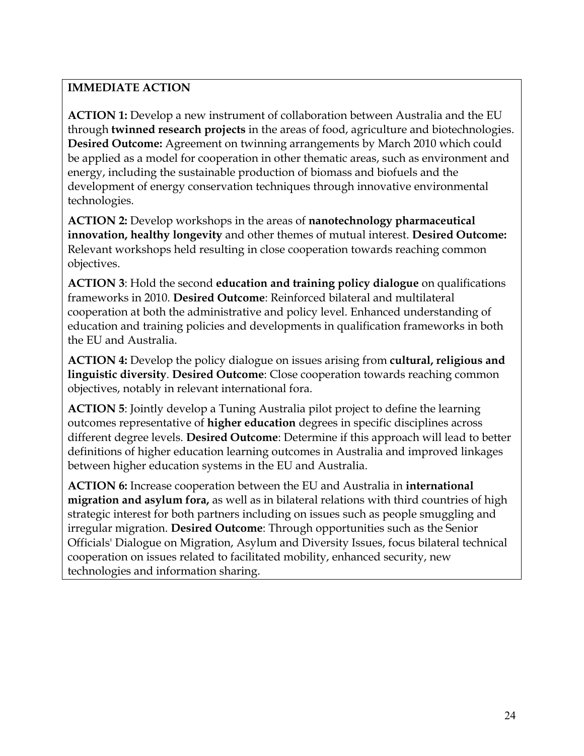**ACTION 1:** Develop a new instrument of collaboration between Australia and the EU through **twinned research projects** in the areas of food, agriculture and biotechnologies. **Desired Outcome:** Agreement on twinning arrangements by March 2010 which could be applied as a model for cooperation in other thematic areas, such as environment and energy, including the sustainable production of biomass and biofuels and the development of energy conservation techniques through innovative environmental technologies.

**ACTION 2:** Develop workshops in the areas of **nanotechnology pharmaceutical innovation, healthy longevity** and other themes of mutual interest. **Desired Outcome:**  Relevant workshops held resulting in close cooperation towards reaching common objectives.

**ACTION 3**: Hold the second **education and training policy dialogue** on qualifications frameworks in 2010. **Desired Outcome**: Reinforced bilateral and multilateral cooperation at both the administrative and policy level. Enhanced understanding of education and training policies and developments in qualification frameworks in both the EU and Australia.

**ACTION 4:** Develop the policy dialogue on issues arising from **cultural, religious and linguistic diversity**. **Desired Outcome**: Close cooperation towards reaching common objectives, notably in relevant international fora.

**ACTION 5**: Jointly develop a Tuning Australia pilot project to define the learning outcomes representative of **higher education** degrees in specific disciplines across different degree levels. **Desired Outcome**: Determine if this approach will lead to better definitions of higher education learning outcomes in Australia and improved linkages between higher education systems in the EU and Australia.

**ACTION 6:** Increase cooperation between the EU and Australia in **international migration and asylum fora,** as well as in bilateral relations with third countries of high strategic interest for both partners including on issues such as people smuggling and irregular migration. **Desired Outcome**: Through opportunities such as the Senior Officials' Dialogue on Migration, Asylum and Diversity Issues, focus bilateral technical cooperation on issues related to facilitated mobility, enhanced security, new technologies and information sharing.